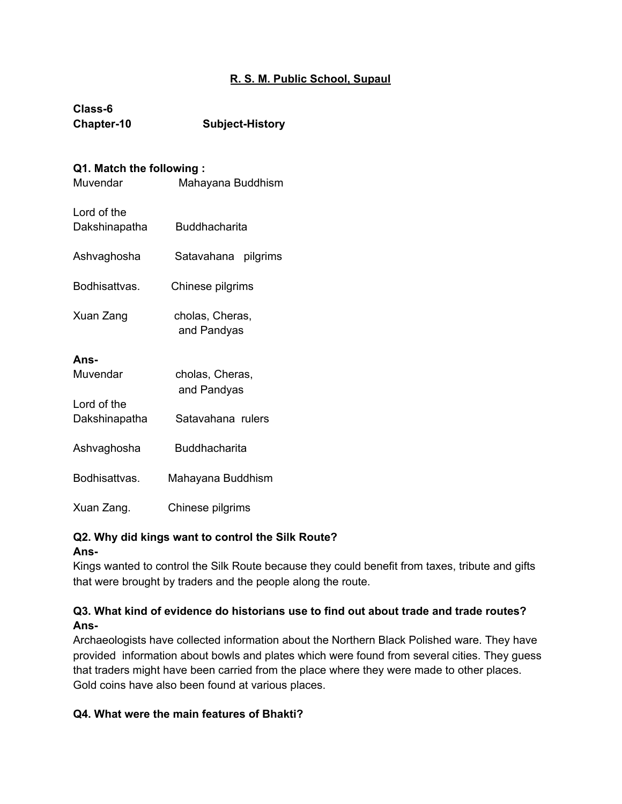### **R. S. M. Public School, Supaul**

| Class-6    |                        |
|------------|------------------------|
| Chapter-10 | <b>Subject-History</b> |

#### **Q1. Match the following :**

| Muvendar                     | Mahayana Buddhism              |
|------------------------------|--------------------------------|
| Lord of the<br>Dakshinapatha | Buddhacharita                  |
| Ashvaghosha                  | Satavahana pilgrims            |
| Bodhisattvas.                | Chinese pilgrims               |
| Xuan Zang                    | cholas, Cheras,<br>and Pandyas |
| Ans-<br>Muvendar             | cholas, Cheras,<br>and Pandyas |
| Lord of the<br>Dakshinapatha | Satavahana rulers              |
| Ashvaghosha                  | <b>Buddhacharita</b>           |
| Bodhisattvas.                | Mahayana Buddhism              |
| Xuan Zang.                   | Chinese pilgrims               |

### **Q2. Why did kings want to control the Silk Route?**

### **Ans-**

Kings wanted to control the Silk Route because they could benefit from taxes, tribute and gifts that were brought by traders and the people along the route.

### **Q3. What kind of evidence do historians use to find out about trade and trade routes? Ans-**

Archaeologists have collected information about the Northern Black Polished ware. They have provided information about bowls and plates which were found from several cities. They guess that traders might have been carried from the place where they were made to other places. Gold coins have also been found at various places.

### **Q4. What were the main features of Bhakti?**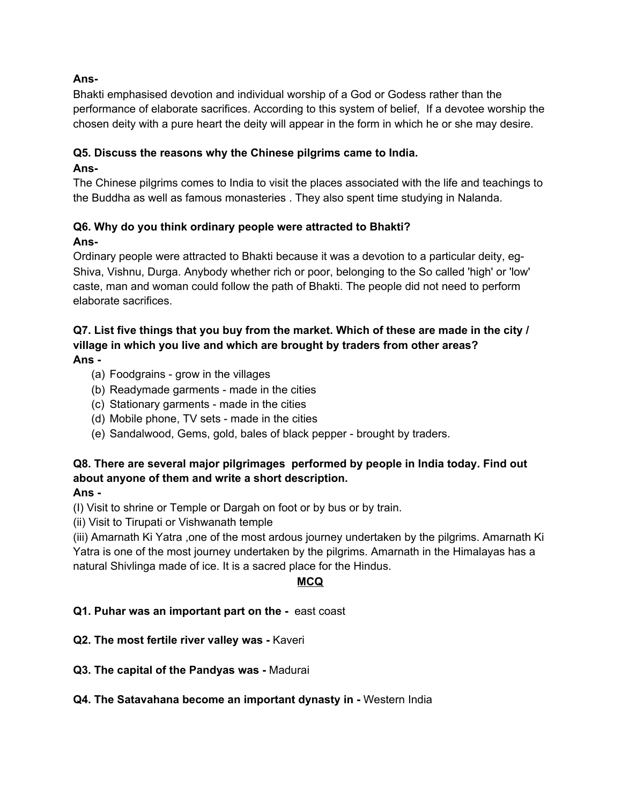### **Ans-**

Bhakti emphasised devotion and individual worship of a God or Godess rather than the performance of elaborate sacrifices. According to this system of belief, If a devotee worship the chosen deity with a pure heart the deity will appear in the form in which he or she may desire.

### **Q5. Discuss the reasons why the Chinese pilgrims came to India.**

### **Ans-**

The Chinese pilgrims comes to India to visit the places associated with the life and teachings to the Buddha as well as famous monasteries . They also spent time studying in Nalanda.

# **Q6. Why do you think ordinary people were attracted to Bhakti?**

## **Ans-**

Ordinary people were attracted to Bhakti because it was a devotion to a particular deity, eg-Shiva, Vishnu, Durga. Anybody whether rich or poor, belonging to the So called 'high' or 'low' caste, man and woman could follow the path of Bhakti. The people did not need to perform elaborate sacrifices.

### **Q7. List five things that you buy from the market. Which of these are made in the city / village in which you live and which are brought by traders from other areas? Ans -**

- (a) Foodgrains grow in the villages
- (b) Readymade garments made in the cities
- (c) Stationary garments made in the cities
- (d) Mobile phone, TV sets made in the cities
- (e) Sandalwood, Gems, gold, bales of black pepper brought by traders.

### **Q8. There are several major pilgrimages performed by people in India today. Find out about anyone of them and write a short description.**

### **Ans -**

(I) Visit to shrine or Temple or Dargah on foot or by bus or by train.

(ii) Visit to Tirupati or Vishwanath temple

(iii) Amarnath Ki Yatra ,one of the most ardous journey undertaken by the pilgrims. Amarnath Ki Yatra is one of the most journey undertaken by the pilgrims. Amarnath in the Himalayas has a natural Shivlinga made of ice. It is a sacred place for the Hindus.

### **MCQ**

### **Q1. Puhar was an important part on the -** east coast

- **Q2. The most fertile river valley was -** Kaveri
- **Q3. The capital of the Pandyas was -** Madurai

### **Q4. The Satavahana become an important dynasty in -** Western India